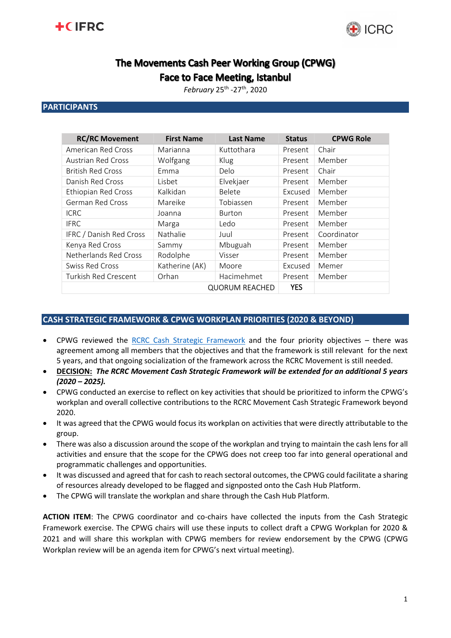



# The Movements Cash Peer Working Group (CPWG)

**Face to Face Meeting, Istanbul** 

*February* 25th -27th, 2020

## **PARTICIPANTS**

| <b>RC/RC Movement</b>     | <b>First Name</b> | <b>Last Name</b> | <b>Status</b> | <b>CPWG Role</b> |
|---------------------------|-------------------|------------------|---------------|------------------|
| <b>American Red Cross</b> | Marianna          | Kuttothara       | Present       | Chair            |
| <b>Austrian Red Cross</b> | Wolfgang          | Klug             | Present       | Member           |
| <b>British Red Cross</b>  | Emma              | Delo             | Present       | Chair            |
| Danish Red Cross          | Lisbet            | Elvekjaer        | Present       | Member           |
| Ethiopian Red Cross       | Kalkidan          | Belete           | Excused       | Member           |
| German Red Cross          | Mareike           | Tobiassen        | Present       | Member           |
| <b>ICRC</b>               | Joanna            | <b>Burton</b>    | Present       | Member           |
| <b>IFRC</b>               | Marga             | Ledo             | Present       | Member           |
| IFRC / Danish Red Cross   | Nathalie          | Juul             | Present       | Coordinator      |
| Kenya Red Cross           | Sammy             | Mbuguah          | Present       | Member           |
| Netherlands Red Cross     | Rodolphe          | Visser           | Present       | Member           |
| <b>Swiss Red Cross</b>    | Katherine (AK)    | Moore            | Excused       | Memer            |
| Turkish Red Crescent      | Orhan             | Hacimehmet       | Present       | Member           |
|                           | <b>YES</b>        |                  |               |                  |

## **CASH STRATEGIC FRAMEWORK & CPWG WORKPLAN PRIORITIES (2020 & BEYOND)**

- CPWG reviewed the [RCRC Cash Strategic Framework](https://www.cash-hub.org/-/media/cashhub-documents/guidance-and-tools/movement-strategic-framework/rcrcm-ctp-frameworkendorsed-cpwg--gov-boardjune-2018.pdf?la=en&hash=2D3F5A38C27FD4C8B4974D8AD60904C59949F4FB) and the four priority objectives there was agreement among all members that the objectives and that the framework is still relevant for the next 5 years, and that ongoing socialization of the framework across the RCRC Movement is still needed.
- **DECISION:** *The RCRC Movement Cash Strategic Framework will be extended for an additional 5 years (2020 – 2025).*
- CPWG conducted an exercise to reflect on key activities that should be prioritized to inform the CPWG's workplan and overall collective contributions to the RCRC Movement Cash Strategic Framework beyond 2020.
- It was agreed that the CPWG would focus its workplan on activities that were directly attributable to the group.
- There was also a discussion around the scope of the workplan and trying to maintain the cash lens for all activities and ensure that the scope for the CPWG does not creep too far into general operational and programmatic challenges and opportunities.
- It was discussed and agreed that for cash to reach sectoral outcomes, the CPWG could facilitate a sharing of resources already developed to be flagged and signposted onto the Cash Hub Platform.
- The CPWG will translate the workplan and share through the Cash Hub Platform.

**ACTION ITEM**: The CPWG coordinator and co-chairs have collected the inputs from the Cash Strategic Framework exercise. The CPWG chairs will use these inputs to collect draft a CPWG Workplan for 2020 & 2021 and will share this workplan with CPWG members for review endorsement by the CPWG (CPWG Workplan review will be an agenda item for CPWG's next virtual meeting).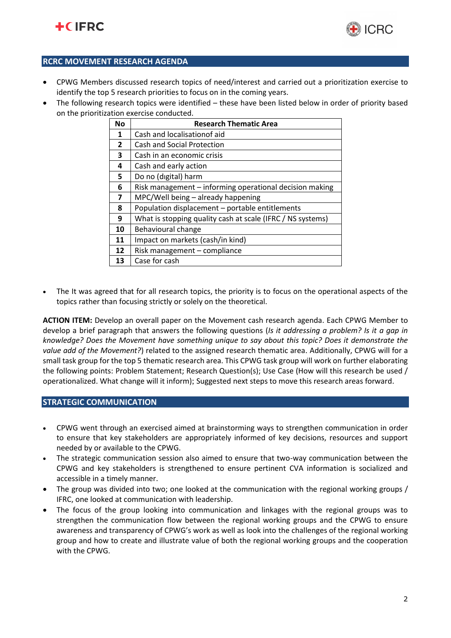



## **RCRC MOVEMENT RESEARCH AGENDA**

- CPWG Members discussed research topics of need/interest and carried out a prioritization exercise to identify the top 5 research priorities to focus on in the coming years.
- The following research topics were identified these have been listed below in order of priority based on the prioritization exercise conducted.

| <b>No</b>    | <b>Research Thematic Area</b>                              |  |
|--------------|------------------------------------------------------------|--|
| 1            | Cash and localisation of aid                               |  |
| $\mathbf{2}$ | Cash and Social Protection                                 |  |
| 3            | Cash in an economic crisis                                 |  |
| 4            | Cash and early action                                      |  |
| 5.           | Do no (digital) harm                                       |  |
| 6            | Risk management – informing operational decision making    |  |
| 7            | MPC/Well being - already happening                         |  |
| 8            | Population displacement - portable entitlements            |  |
| 9            | What is stopping quality cash at scale (IFRC / NS systems) |  |
| 10           | Behavioural change                                         |  |
| 11           | Impact on markets (cash/in kind)                           |  |
| 12           | Risk management - compliance                               |  |
| 13           | Case for cash                                              |  |

The It was agreed that for all research topics, the priority is to focus on the operational aspects of the topics rather than focusing strictly or solely on the theoretical.

**ACTION ITEM:** Develop an overall paper on the Movement cash research agenda. Each CPWG Member to develop a brief paragraph that answers the following questions (*Is it addressing a problem? Is it a gap in knowledge? Does the Movement have something unique to say about this topic? Does it demonstrate the value add of the Movement?*) related to the assigned research thematic area. Additionally, CPWG will for a small task group for the top 5 thematic research area. This CPWG task group will work on further elaborating the following points: Problem Statement; Research Question(s); Use Case (How will this research be used / operationalized. What change will it inform); Suggested next steps to move this research areas forward.

## **STRATEGIC COMMUNICATION**

- CPWG went through an exercised aimed at brainstorming ways to strengthen communication in order to ensure that key stakeholders are appropriately informed of key decisions, resources and support needed by or available to the CPWG.
- The strategic communication session also aimed to ensure that two-way communication between the CPWG and key stakeholders is strengthened to ensure pertinent CVA information is socialized and accessible in a timely manner.
- The group was divided into two; one looked at the communication with the regional working groups / IFRC, one looked at communication with leadership.
- The focus of the group looking into communication and linkages with the regional groups was to strengthen the communication flow between the regional working groups and the CPWG to ensure awareness and transparency of CPWG's work as well as look into the challenges of the regional working group and how to create and illustrate value of both the regional working groups and the cooperation with the CPWG.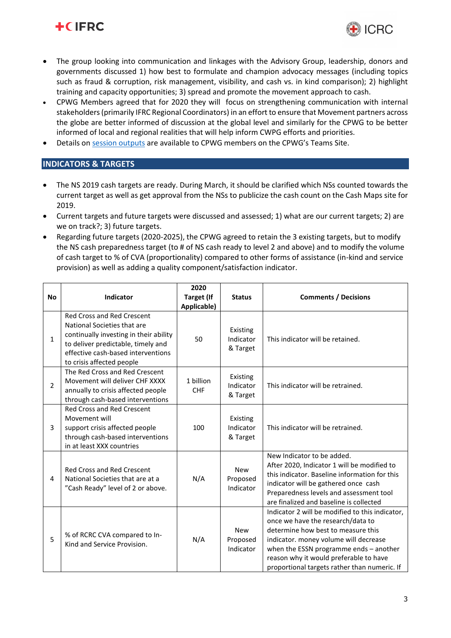



- The group looking into communication and linkages with the Advisory Group, leadership, donors and governments discussed 1) how best to formulate and champion advocacy messages (including topics such as fraud & corruption, risk management, visibility, and cash vs. in kind comparison); 2) highlight training and capacity opportunities; 3) spread and promote the movement approach to cash.
- CPWG Members agreed that for 2020 they will focus on strengthening communication with internal stakeholders (primarily IFRC Regional Coordinators) in an effort to ensure that Movement partners across the globe are better informed of discussion at the global level and similarly for the CPWG to be better informed of local and regional realities that will help inform CWPG efforts and priorities.
- Details on [session outputs](https://teams.microsoft.com/_#/files/Meetings%20and%20Calls?threadId=19%3A2665085320e84c8ca6f37162252d62f4%40thread.skype&ctx=channel&context=Strategic%2520comms%2520session&rootfolder=%252Fsites%252FCashPeerWorkingGroup%252FDelte%2520dokumenter%252FMeeting%2520and%2520Calls%252F17.%2) are available to CPWG members on the CPWG's Teams Site.

# **INDICATORS & TARGETS**

- The NS 2019 cash targets are ready. During March, it should be clarified which NSs counted towards the current target as well as get approval from the NSs to publicize the cash count on the Cash Maps site for 2019.
- Current targets and future targets were discussed and assessed; 1) what are our current targets; 2) are we on track?; 3) future targets.
- Regarding future targets (2020-2025), the CPWG agreed to retain the 3 existing targets, but to modify the NS cash preparedness target (to # of NS cash ready to level 2 and above) and to modify the volume of cash target to % of CVA (proportionality) compared to other forms of assistance (in-kind and service provision) as well as adding a quality component/satisfaction indicator.

| <b>No</b>      | <b>Indicator</b>                                                                                                                                                                                                    | 2020<br><b>Target (If</b><br>Applicable) | <b>Status</b>                       | <b>Comments / Decisions</b>                                                                                                                                                                                                                                                                             |
|----------------|---------------------------------------------------------------------------------------------------------------------------------------------------------------------------------------------------------------------|------------------------------------------|-------------------------------------|---------------------------------------------------------------------------------------------------------------------------------------------------------------------------------------------------------------------------------------------------------------------------------------------------------|
| 1              | <b>Red Cross and Red Crescent</b><br>National Societies that are<br>continually investing in their ability<br>to deliver predictable, timely and<br>effective cash-based interventions<br>to crisis affected people | 50                                       | Existing<br>Indicator<br>& Target   | This indicator will be retained.                                                                                                                                                                                                                                                                        |
| $\overline{2}$ | The Red Cross and Red Crescent<br>Movement will deliver CHF XXXX<br>annually to crisis affected people<br>through cash-based interventions                                                                          | 1 billion<br><b>CHF</b>                  | Existing<br>Indicator<br>& Target   | This indicator will be retrained.                                                                                                                                                                                                                                                                       |
| 3              | <b>Red Cross and Red Crescent</b><br>Movement will<br>support crisis affected people<br>through cash-based interventions<br>in at least XXX countries                                                               | 100                                      | Existing<br>Indicator<br>& Target   | This indicator will be retrained.                                                                                                                                                                                                                                                                       |
| 4              | <b>Red Cross and Red Crescent</b><br>National Societies that are at a<br>"Cash Ready" level of 2 or above.                                                                                                          | N/A                                      | <b>New</b><br>Proposed<br>Indicator | New Indicator to be added.<br>After 2020, Indicator 1 will be modified to<br>this indicator. Baseline information for this<br>indicator will be gathered once cash<br>Preparedness levels and assessment tool<br>are finalized and baseline is collected                                                |
| 5              | % of RCRC CVA compared to In-<br>Kind and Service Provision.                                                                                                                                                        | N/A                                      | <b>New</b><br>Proposed<br>Indicator | Indicator 2 will be modified to this indicator,<br>once we have the research/data to<br>determine how best to measure this<br>indicator. money volume will decrease<br>when the ESSN programme ends - another<br>reason why it would preferable to have<br>proportional targets rather than numeric. If |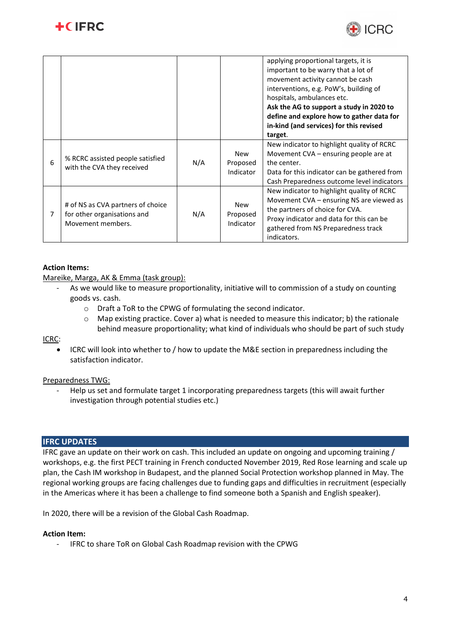



|   |                                                                                       |     |                                     | applying proportional targets, it is<br>important to be warry that a lot of<br>movement activity cannot be cash<br>interventions, e.g. PoW's, building of<br>hospitals, ambulances etc.<br>Ask the AG to support a study in 2020 to<br>define and explore how to gather data for<br>in-kind (and services) for this revised<br>target. |
|---|---------------------------------------------------------------------------------------|-----|-------------------------------------|----------------------------------------------------------------------------------------------------------------------------------------------------------------------------------------------------------------------------------------------------------------------------------------------------------------------------------------|
| 6 | % RCRC assisted people satisfied<br>with the CVA they received                        | N/A | <b>New</b><br>Proposed<br>Indicator | New indicator to highlight quality of RCRC<br>Movement CVA – ensuring people are at<br>the center.<br>Data for this indicator can be gathered from<br>Cash Preparedness outcome level indicators                                                                                                                                       |
| 7 | # of NS as CVA partners of choice<br>for other organisations and<br>Movement members. | N/A | <b>New</b><br>Proposed<br>Indicator | New indicator to highlight quality of RCRC<br>Movement CVA - ensuring NS are viewed as<br>the partners of choice for CVA.<br>Proxy indicator and data for this can be<br>gathered from NS Preparedness track<br>indicators.                                                                                                            |

## **Action Items:**

Mareike, Marga, AK & Emma (task group):

- As we would like to measure proportionality, initiative will to commission of a study on counting goods vs. cash.
	- o Draft a ToR to the CPWG of formulating the second indicator.
	- o Map existing practice. Cover a) what is needed to measure this indicator; b) the rationale behind measure proportionality; what kind of individuals who should be part of such study

## ICRC:

• ICRC will look into whether to / how to update the M&E section in preparedness including the satisfaction indicator.

## Preparedness TWG:

- Help us set and formulate target 1 incorporating preparedness targets (this will await further investigation through potential studies etc.)

## **IFRC UPDATES**

IFRC gave an update on their work on cash. This included an update on ongoing and upcoming training / workshops, e.g. the first PECT training in French conducted November 2019, Red Rose learning and scale up plan, the Cash IM workshop in Budapest, and the planned Social Protection workshop planned in May. The regional working groups are facing challenges due to funding gaps and difficulties in recruitment (especially in the Americas where it has been a challenge to find someone both a Spanish and English speaker).

In 2020, there will be a revision of the Global Cash Roadmap.

## **Action Item:**

- IFRC to share ToR on Global Cash Roadmap revision with the CPWG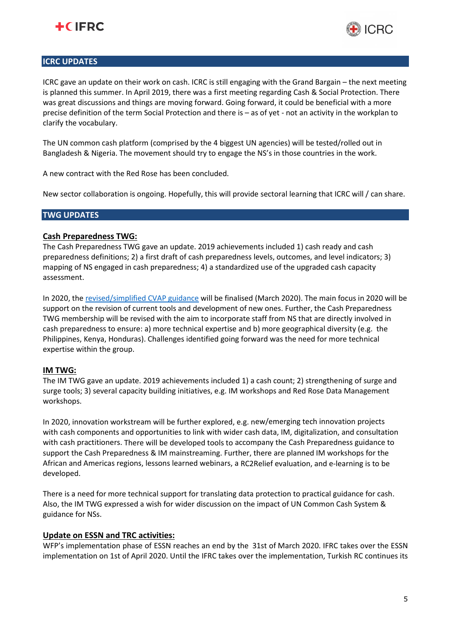



## **ICRC UPDATES**

ICRC gave an update on their work on cash. ICRC is still engaging with the Grand Bargain – the next meeting is planned this summer. In April 2019, there was a first meeting regarding Cash & Social Protection. There was great discussions and things are moving forward. Going forward, it could be beneficial with a more precise definition of the term Social Protection and there is – as of yet - not an activity in the workplan to clarify the vocabulary.

The UN common cash platform (comprised by the 4 biggest UN agencies) will be tested/rolled out in Bangladesh & Nigeria. The movement should try to engage the NS's in those countries in the work.

A new contract with the Red Rose has been concluded.

New sector collaboration is ongoing. Hopefully, this will provide sectoral learning that ICRC will / can share.

## **TWG UPDATES**

#### **Cash Preparedness TWG:**

The Cash Preparedness TWG gave an update. 2019 achievements included 1) cash ready and cash preparedness definitions; 2) a first draft of cash preparedness levels, outcomes, and level indicators; 3) mapping of NS engaged in cash preparedness; 4) a standardized use of the upgraded cash capacity assessment.

In 2020, th[e revised/simplified CVAP guidance](https://teams.microsoft.com/_#/files/Meetings%20and%20Calls?threadId=19%3A2665085320e84c8ca6f37162252d62f4%40thread.skype&ctx=channel&context=Cash%2520Preparedness%2520Session&rootfolder=%252Fsites%252FCashPeerWorkingGroup%252FDelte%2520dokumenter%252FMeeting%2520and%2520Calls%252F17.) will be finalised (March 2020). The main focus in 2020 will be support on the revision of current tools and development of new ones. Further, the Cash Preparedness TWG membership will be revised with the aim to incorporate staff from NS that are directly involved in cash preparedness to ensure: a) more technical expertise and b) more geographical diversity (e.g. the Philippines, Kenya, Honduras). Challenges identified going forward was the need for more technical expertise within the group.

## **IM TWG:**

The IM TWG gave an update. 2019 achievements included 1) a cash count; 2) strengthening of surge and surge tools; 3) several capacity building initiatives, e.g. IM workshops and Red Rose Data Management workshops.

In 2020, innovation workstream will be further explored, e.g. new/emerging tech innovation projects with cash components and opportunities to link with wider cash data, IM, digitalization, and consultation with cash practitioners. There will be developed tools to accompany the Cash Preparedness guidance to support the Cash Preparedness & IM mainstreaming. Further, there are planned IM workshops for the African and Americas regions, lessons learned webinars, a RC2Relief evaluation, and e-learning is to be developed.

There is a need for more technical support for translating data protection to practical guidance for cash. Also, the IM TWG expressed a wish for wider discussion on the impact of UN Common Cash System & guidance for NSs.

#### **Update on ESSN and TRC activities:**

WFP's implementation phase of ESSN reaches an end by the 31st of March 2020. IFRC takes over the ESSN implementation on 1st of April 2020. Until the IFRC takes over the implementation, Turkish RC continues its